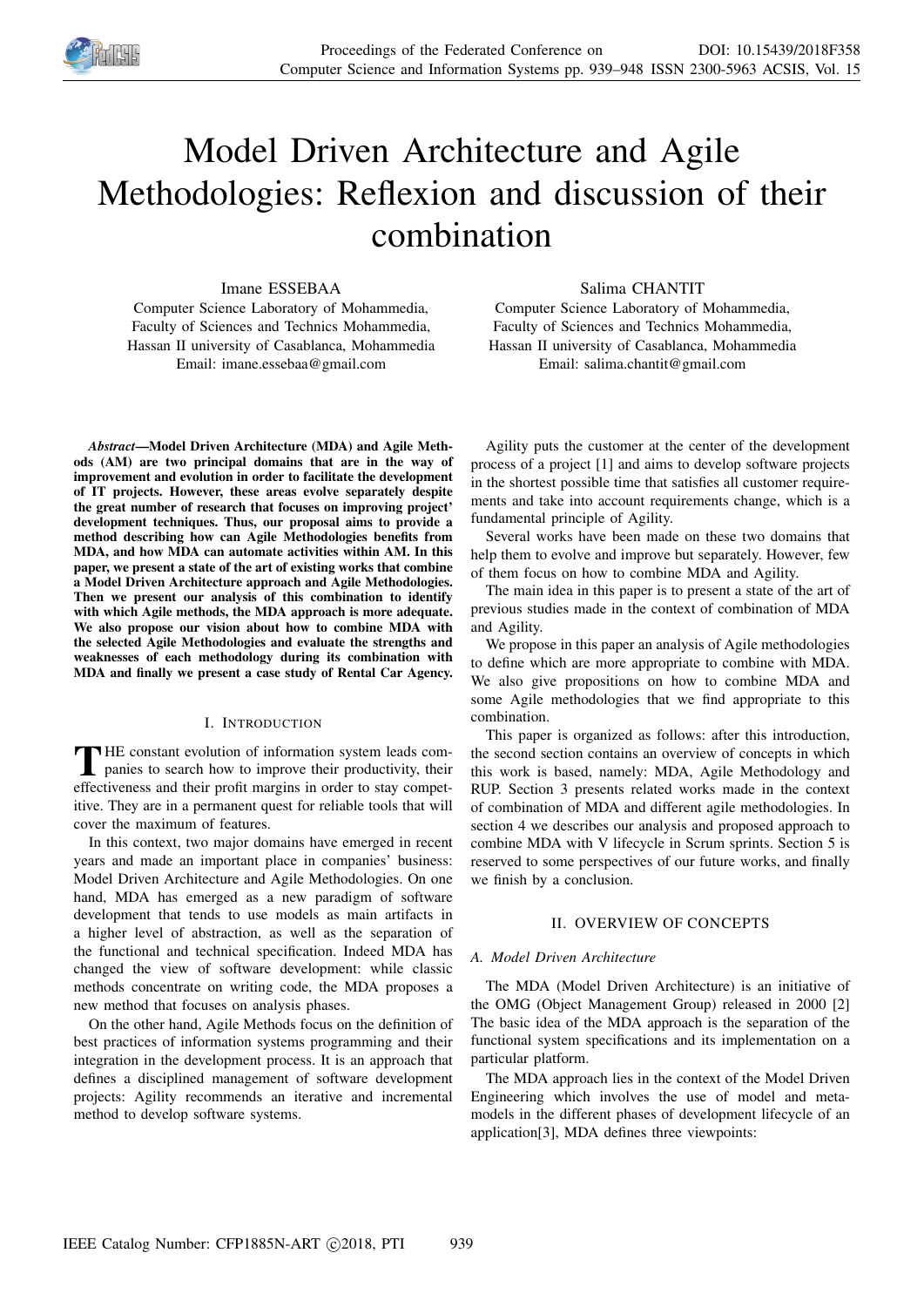

# Model Driven Architecture and Agile Methodologies: Reflexion and discussion of their combination

## Imane ESSEBAA

Computer Science Laboratory of Mohammedia, Faculty of Sciences and Technics Mohammedia, Hassan II university of Casablanca, Mohammedia Email: imane.essebaa@gmail.com

*Abstract*—Model Driven Architecture (MDA) and Agile Methods (AM) are two principal domains that are in the way of improvement and evolution in order to facilitate the development of IT projects. However, these areas evolve separately despite the great number of research that focuses on improving project' development techniques. Thus, our proposal aims to provide a method describing how can Agile Methodologies benefits from MDA, and how MDA can automate activities within AM. In this paper, we present a state of the art of existing works that combine a Model Driven Architecture approach and Agile Methodologies. Then we present our analysis of this combination to identify with which Agile methods, the MDA approach is more adequate. We also propose our vision about how to combine MDA with the selected Agile Methodologies and evaluate the strengths and weaknesses of each methodology during its combination with MDA and finally we present a case study of Rental Car Agency.

## I. INTRODUCTION

THE constant evolution of information system leads com-<br>panies to search how to improve their productivity, their HE constant evolution of information system leads comeffectiveness and their profit margins in order to stay competitive. They are in a permanent quest for reliable tools that will cover the maximum of features.

In this context, two major domains have emerged in recent years and made an important place in companies' business: Model Driven Architecture and Agile Methodologies. On one hand, MDA has emerged as a new paradigm of software development that tends to use models as main artifacts in a higher level of abstraction, as well as the separation of the functional and technical specification. Indeed MDA has changed the view of software development: while classic methods concentrate on writing code, the MDA proposes a new method that focuses on analysis phases.

On the other hand, Agile Methods focus on the definition of best practices of information systems programming and their integration in the development process. It is an approach that defines a disciplined management of software development projects: Agility recommends an iterative and incremental method to develop software systems.

## Salima CHANTIT

Computer Science Laboratory of Mohammedia, Faculty of Sciences and Technics Mohammedia, Hassan II university of Casablanca, Mohammedia Email: salima.chantit@gmail.com

Agility puts the customer at the center of the development process of a project [1] and aims to develop software projects in the shortest possible time that satisfies all customer requirements and take into account requirements change, which is a fundamental principle of Agility.

Several works have been made on these two domains that help them to evolve and improve but separately. However, few of them focus on how to combine MDA and Agility.

The main idea in this paper is to present a state of the art of previous studies made in the context of combination of MDA and Agility.

We propose in this paper an analysis of Agile methodologies to define which are more appropriate to combine with MDA. We also give propositions on how to combine MDA and some Agile methodologies that we find appropriate to this combination.

This paper is organized as follows: after this introduction, the second section contains an overview of concepts in which this work is based, namely: MDA, Agile Methodology and RUP. Section 3 presents related works made in the context of combination of MDA and different agile methodologies. In section 4 we describes our analysis and proposed approach to combine MDA with V lifecycle in Scrum sprints. Section 5 is reserved to some perspectives of our future works, and finally we finish by a conclusion.

## II. OVERVIEW OF CONCEPTS

## *A. Model Driven Architecture*

The MDA (Model Driven Architecture) is an initiative of the OMG (Object Management Group) released in 2000 [2] The basic idea of the MDA approach is the separation of the functional system specifications and its implementation on a particular platform.

The MDA approach lies in the context of the Model Driven Engineering which involves the use of model and metamodels in the different phases of development lifecycle of an application[3], MDA defines three viewpoints: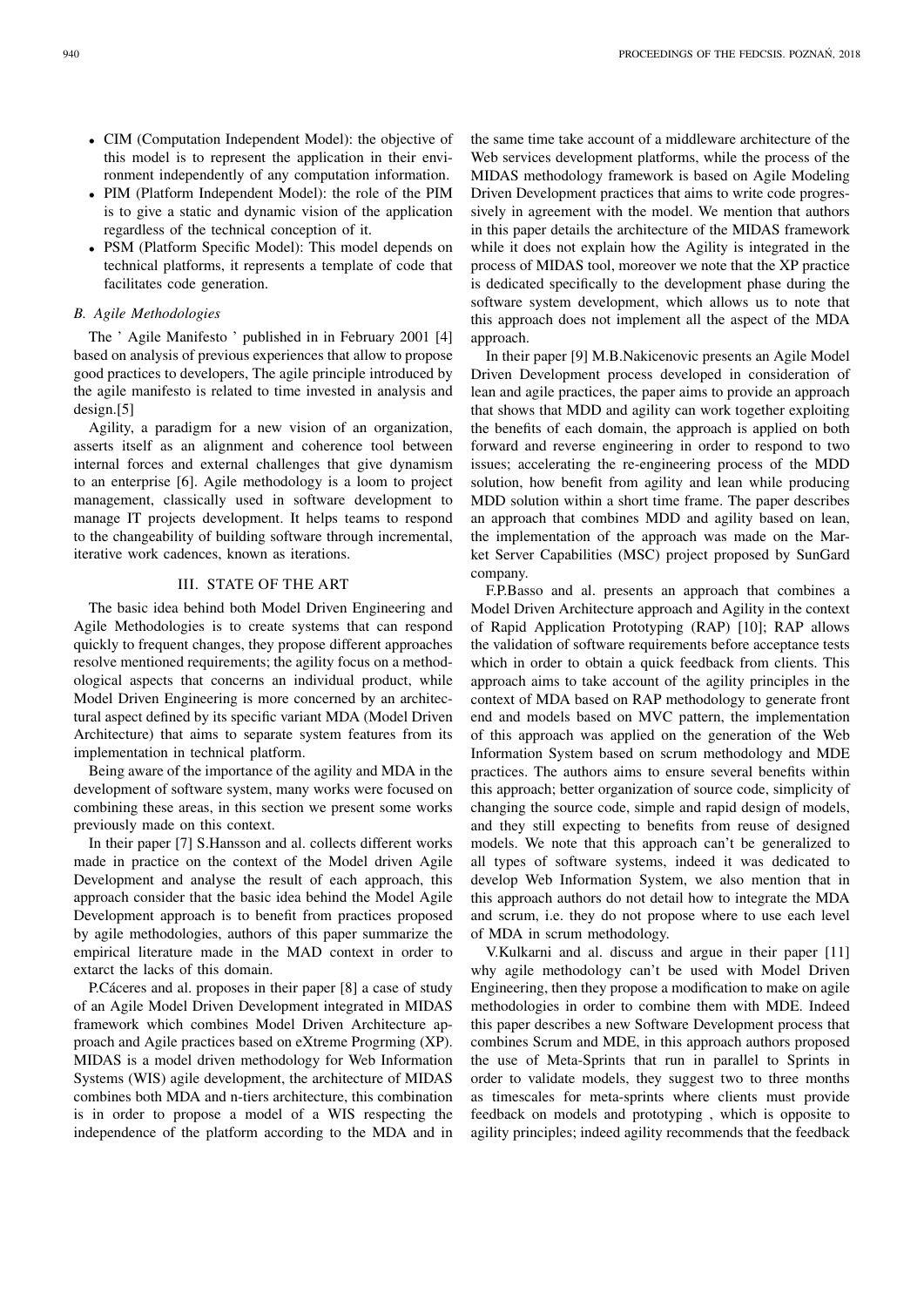- CIM (Computation Independent Model): the objective of this model is to represent the application in their environment independently of any computation information.
- PIM (Platform Independent Model): the role of the PIM is to give a static and dynamic vision of the application regardless of the technical conception of it.
- PSM (Platform Specific Model): This model depends on technical platforms, it represents a template of code that facilitates code generation.

## *B. Agile Methodologies*

The ' Agile Manifesto ' published in in February 2001 [4] based on analysis of previous experiences that allow to propose good practices to developers, The agile principle introduced by the agile manifesto is related to time invested in analysis and design.[5]

Agility, a paradigm for a new vision of an organization, asserts itself as an alignment and coherence tool between internal forces and external challenges that give dynamism to an enterprise [6]. Agile methodology is a loom to project management, classically used in software development to manage IT projects development. It helps teams to respond to the changeability of building software through incremental, iterative work cadences, known as iterations.

# III. STATE OF THE ART

The basic idea behind both Model Driven Engineering and Agile Methodologies is to create systems that can respond quickly to frequent changes, they propose different approaches resolve mentioned requirements; the agility focus on a methodological aspects that concerns an individual product, while Model Driven Engineering is more concerned by an architectural aspect defined by its specific variant MDA (Model Driven Architecture) that aims to separate system features from its implementation in technical platform.

Being aware of the importance of the agility and MDA in the development of software system, many works were focused on combining these areas, in this section we present some works previously made on this context.

In their paper [7] S.Hansson and al. collects different works made in practice on the context of the Model driven Agile Development and analyse the result of each approach, this approach consider that the basic idea behind the Model Agile Development approach is to benefit from practices proposed by agile methodologies, authors of this paper summarize the empirical literature made in the MAD context in order to extarct the lacks of this domain.

P.Cáceres and al. proposes in their paper [8] a case of study of an Agile Model Driven Development integrated in MIDAS framework which combines Model Driven Architecture approach and Agile practices based on eXtreme Progrming (XP). MIDAS is a model driven methodology for Web Information Systems (WIS) agile development, the architecture of MIDAS combines both MDA and n-tiers architecture, this combination is in order to propose a model of a WIS respecting the independence of the platform according to the MDA and in

the same time take account of a middleware architecture of the Web services development platforms, while the process of the MIDAS methodology framework is based on Agile Modeling Driven Development practices that aims to write code progressively in agreement with the model. We mention that authors in this paper details the architecture of the MIDAS framework while it does not explain how the Agility is integrated in the process of MIDAS tool, moreover we note that the XP practice is dedicated specifically to the development phase during the software system development, which allows us to note that this approach does not implement all the aspect of the MDA approach.

In their paper [9] M.B.Nakicenovic presents an Agile Model Driven Development process developed in consideration of lean and agile practices, the paper aims to provide an approach that shows that MDD and agility can work together exploiting the benefits of each domain, the approach is applied on both forward and reverse engineering in order to respond to two issues; accelerating the re-engineering process of the MDD solution, how benefit from agility and lean while producing MDD solution within a short time frame. The paper describes an approach that combines MDD and agility based on lean, the implementation of the approach was made on the Market Server Capabilities (MSC) project proposed by SunGard company.

F.P.Basso and al. presents an approach that combines a Model Driven Architecture approach and Agility in the context of Rapid Application Prototyping (RAP) [10]; RAP allows the validation of software requirements before acceptance tests which in order to obtain a quick feedback from clients. This approach aims to take account of the agility principles in the context of MDA based on RAP methodology to generate front end and models based on MVC pattern, the implementation of this approach was applied on the generation of the Web Information System based on scrum methodology and MDE practices. The authors aims to ensure several benefits within this approach; better organization of source code, simplicity of changing the source code, simple and rapid design of models, and they still expecting to benefits from reuse of designed models. We note that this approach can't be generalized to all types of software systems, indeed it was dedicated to develop Web Information System, we also mention that in this approach authors do not detail how to integrate the MDA and scrum, i.e. they do not propose where to use each level of MDA in scrum methodology.

V.Kulkarni and al. discuss and argue in their paper [11] why agile methodology can't be used with Model Driven Engineering, then they propose a modification to make on agile methodologies in order to combine them with MDE. Indeed this paper describes a new Software Development process that combines Scrum and MDE, in this approach authors proposed the use of Meta-Sprints that run in parallel to Sprints in order to validate models, they suggest two to three months as timescales for meta-sprints where clients must provide feedback on models and prototyping , which is opposite to agility principles; indeed agility recommends that the feedback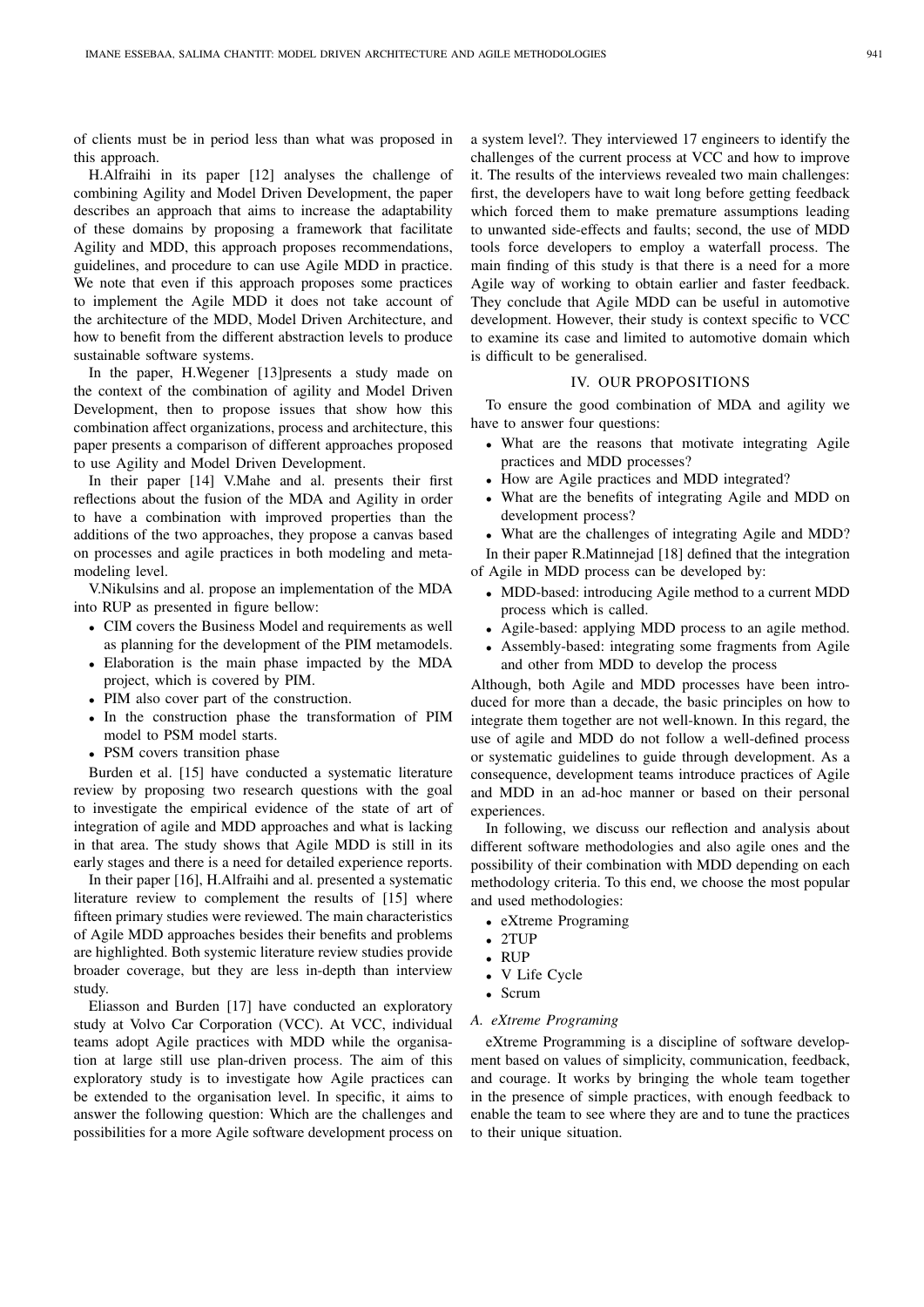of clients must be in period less than what was proposed in this approach.

H.Alfraihi in its paper [12] analyses the challenge of combining Agility and Model Driven Development, the paper describes an approach that aims to increase the adaptability of these domains by proposing a framework that facilitate Agility and MDD, this approach proposes recommendations, guidelines, and procedure to can use Agile MDD in practice. We note that even if this approach proposes some practices to implement the Agile MDD it does not take account of the architecture of the MDD, Model Driven Architecture, and how to benefit from the different abstraction levels to produce sustainable software systems.

In the paper, H.Wegener [13]presents a study made on the context of the combination of agility and Model Driven Development, then to propose issues that show how this combination affect organizations, process and architecture, this paper presents a comparison of different approaches proposed to use Agility and Model Driven Development.

In their paper [14] V.Mahe and al. presents their first reflections about the fusion of the MDA and Agility in order to have a combination with improved properties than the additions of the two approaches, they propose a canvas based on processes and agile practices in both modeling and metamodeling level.

V.Nikulsins and al. propose an implementation of the MDA into RUP as presented in figure bellow:

- CIM covers the Business Model and requirements as well as planning for the development of the PIM metamodels.
- Elaboration is the main phase impacted by the MDA project, which is covered by PIM.
- PIM also cover part of the construction.
- In the construction phase the transformation of PIM model to PSM model starts.
- PSM covers transition phase

Burden et al. [15] have conducted a systematic literature review by proposing two research questions with the goal to investigate the empirical evidence of the state of art of integration of agile and MDD approaches and what is lacking in that area. The study shows that Agile MDD is still in its early stages and there is a need for detailed experience reports.

In their paper [16], H.Alfraihi and al. presented a systematic literature review to complement the results of [15] where fifteen primary studies were reviewed. The main characteristics of Agile MDD approaches besides their benefits and problems are highlighted. Both systemic literature review studies provide broader coverage, but they are less in-depth than interview study.

Eliasson and Burden [17] have conducted an exploratory study at Volvo Car Corporation (VCC). At VCC, individual teams adopt Agile practices with MDD while the organisation at large still use plan-driven process. The aim of this exploratory study is to investigate how Agile practices can be extended to the organisation level. In specific, it aims to answer the following question: Which are the challenges and possibilities for a more Agile software development process on

a system level?. They interviewed 17 engineers to identify the challenges of the current process at VCC and how to improve it. The results of the interviews revealed two main challenges: first, the developers have to wait long before getting feedback which forced them to make premature assumptions leading to unwanted side-effects and faults; second, the use of MDD tools force developers to employ a waterfall process. The main finding of this study is that there is a need for a more Agile way of working to obtain earlier and faster feedback. They conclude that Agile MDD can be useful in automotive development. However, their study is context specific to VCC to examine its case and limited to automotive domain which is difficult to be generalised.

## IV. OUR PROPOSITIONS

To ensure the good combination of MDA and agility we have to answer four questions:

- What are the reasons that motivate integrating Agile practices and MDD processes?
- How are Agile practices and MDD integrated?
- What are the benefits of integrating Agile and MDD on development process?
- What are the challenges of integrating Agile and MDD? In their paper R.Matinnejad [18] defined that the integration

of Agile in MDD process can be developed by:

- MDD-based: introducing Agile method to a current MDD process which is called.
- Agile-based: applying MDD process to an agile method.
- Assembly-based: integrating some fragments from Agile and other from MDD to develop the process

Although, both Agile and MDD processes have been introduced for more than a decade, the basic principles on how to integrate them together are not well-known. In this regard, the use of agile and MDD do not follow a well-defined process or systematic guidelines to guide through development. As a consequence, development teams introduce practices of Agile and MDD in an ad-hoc manner or based on their personal experiences.

In following, we discuss our reflection and analysis about different software methodologies and also agile ones and the possibility of their combination with MDD depending on each methodology criteria. To this end, we choose the most popular and used methodologies:

- eXtreme Programing
- 2TUP
- RUP
- V Life Cycle
- Scrum
- *A. eXtreme Programing*

eXtreme Programming is a discipline of software development based on values of simplicity, communication, feedback, and courage. It works by bringing the whole team together in the presence of simple practices, with enough feedback to enable the team to see where they are and to tune the practices to their unique situation.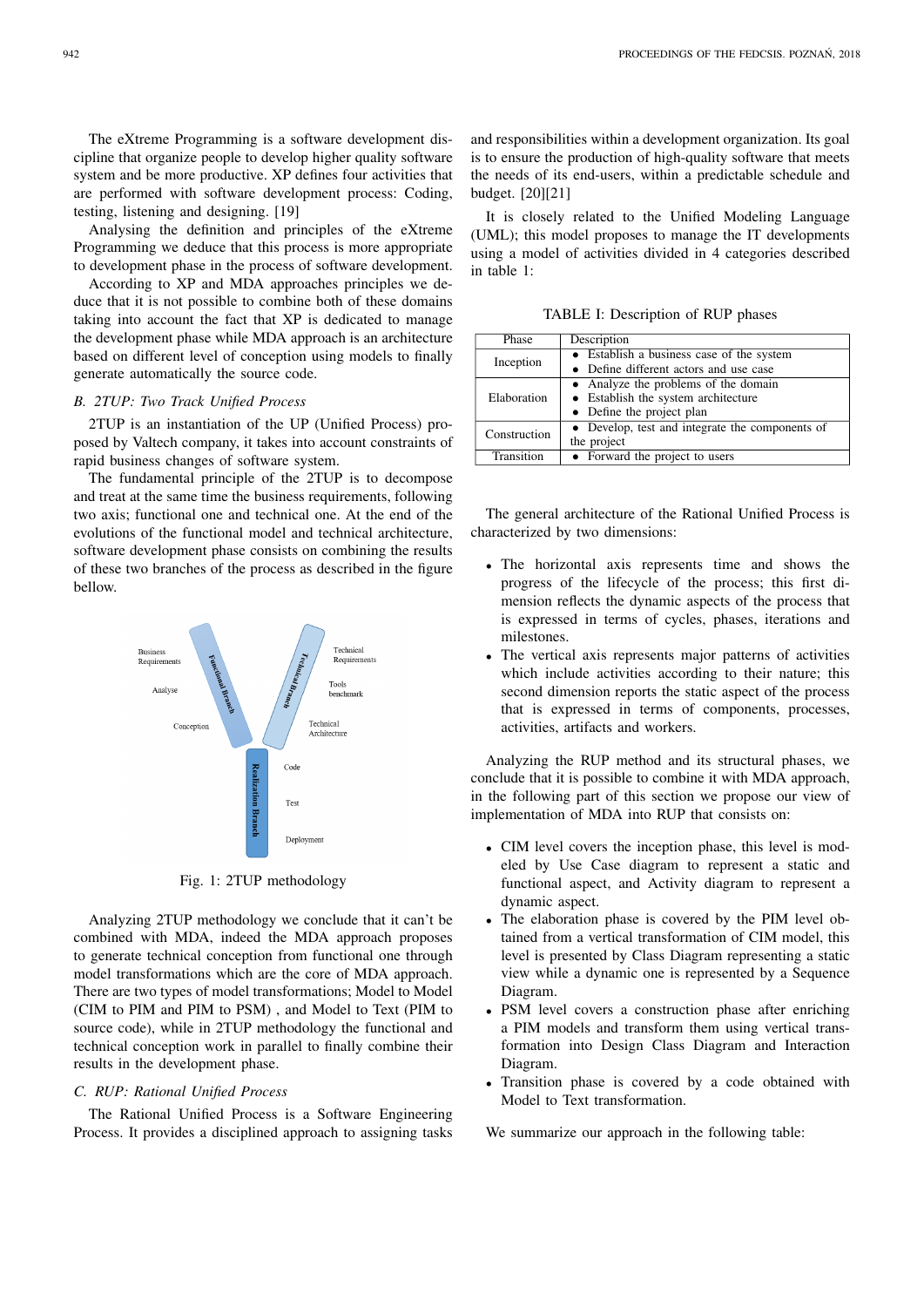The eXtreme Programming is a software development discipline that organize people to develop higher quality software system and be more productive. XP defines four activities that are performed with software development process: Coding, testing, listening and designing. [19]

Analysing the definition and principles of the eXtreme Programming we deduce that this process is more appropriate to development phase in the process of software development.

According to XP and MDA approaches principles we deduce that it is not possible to combine both of these domains taking into account the fact that XP is dedicated to manage the development phase while MDA approach is an architecture based on different level of conception using models to finally generate automatically the source code.

# *B. 2TUP: Two Track Unified Process*

2TUP is an instantiation of the UP (Unified Process) proposed by Valtech company, it takes into account constraints of rapid business changes of software system.

The fundamental principle of the 2TUP is to decompose and treat at the same time the business requirements, following two axis; functional one and technical one. At the end of the evolutions of the functional model and technical architecture, software development phase consists on combining the results of these two branches of the process as described in the figure bellow.



Fig. 1: 2TUP methodology

Analyzing 2TUP methodology we conclude that it can't be combined with MDA, indeed the MDA approach proposes to generate technical conception from functional one through model transformations which are the core of MDA approach. There are two types of model transformations; Model to Model (CIM to PIM and PIM to PSM) , and Model to Text (PIM to source code), while in 2TUP methodology the functional and technical conception work in parallel to finally combine their results in the development phase.

#### *C. RUP: Rational Unified Process*

The Rational Unified Process is a Software Engineering Process. It provides a disciplined approach to assigning tasks

and responsibilities within a development organization. Its goal is to ensure the production of high-quality software that meets the needs of its end-users, within a predictable schedule and budget. [20][21]

It is closely related to the Unified Modeling Language (UML); this model proposes to manage the IT developments using a model of activities divided in 4 categories described in table 1:

TABLE I: Description of RUP phases

| Phase        | Description                                     |
|--------------|-------------------------------------------------|
| Inception    | • Establish a business case of the system       |
|              | • Define different actors and use case          |
|              | • Analyze the problems of the domain            |
| Elaboration  | • Establish the system architecture             |
|              | • Define the project plan                       |
| Construction | • Develop, test and integrate the components of |
|              | the project                                     |
| Transition   | • Forward the project to users                  |
|              |                                                 |

The general architecture of the Rational Unified Process is characterized by two dimensions:

- The horizontal axis represents time and shows the progress of the lifecycle of the process; this first dimension reflects the dynamic aspects of the process that is expressed in terms of cycles, phases, iterations and milestones.
- The vertical axis represents major patterns of activities which include activities according to their nature; this second dimension reports the static aspect of the process that is expressed in terms of components, processes, activities, artifacts and workers.

Analyzing the RUP method and its structural phases, we conclude that it is possible to combine it with MDA approach, in the following part of this section we propose our view of implementation of MDA into RUP that consists on:

- CIM level covers the inception phase, this level is modeled by Use Case diagram to represent a static and functional aspect, and Activity diagram to represent a dynamic aspect.
- The elaboration phase is covered by the PIM level obtained from a vertical transformation of CIM model, this level is presented by Class Diagram representing a static view while a dynamic one is represented by a Sequence Diagram.
- PSM level covers a construction phase after enriching a PIM models and transform them using vertical transformation into Design Class Diagram and Interaction Diagram.
- Transition phase is covered by a code obtained with Model to Text transformation.

We summarize our approach in the following table: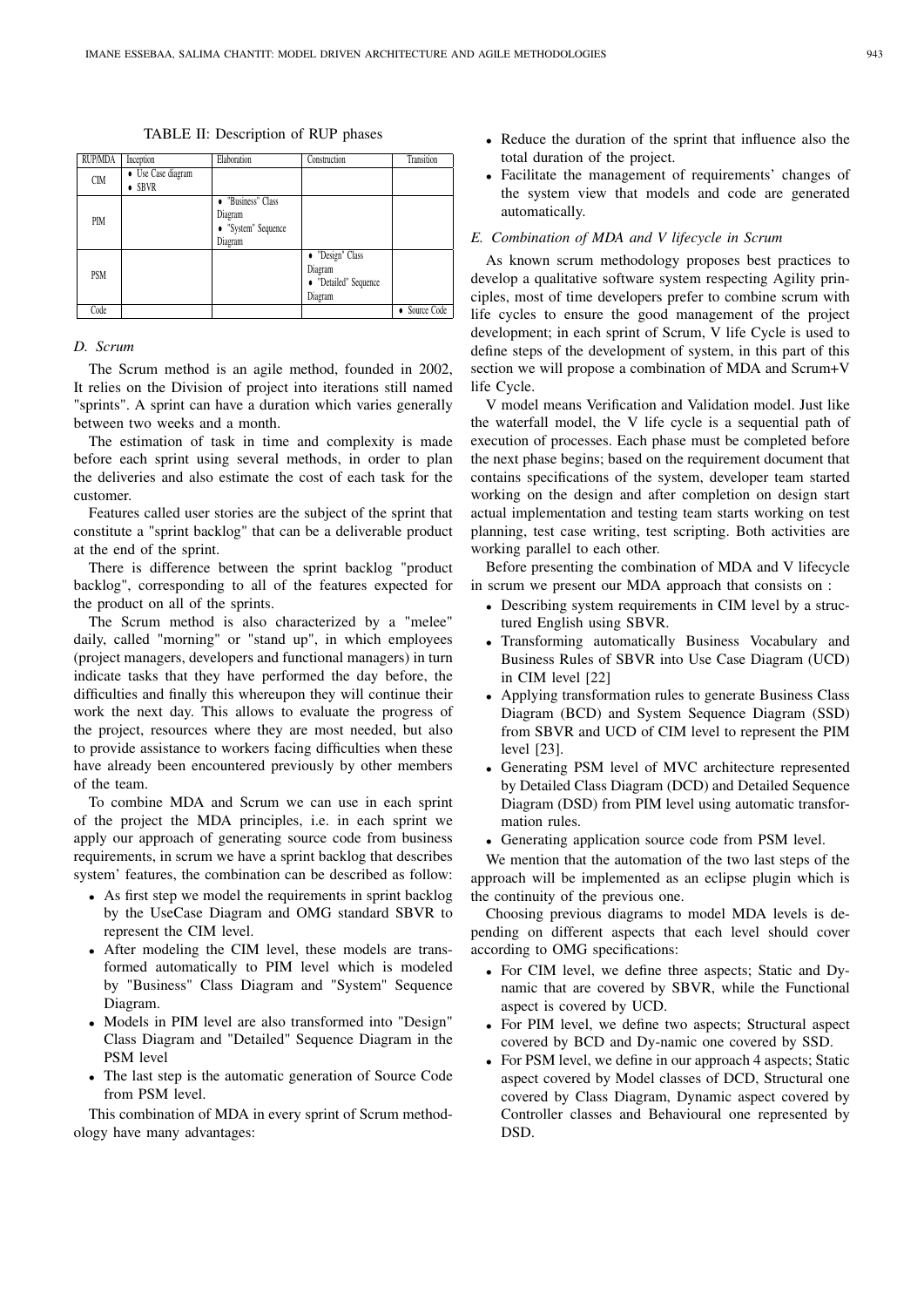|  | TABLE II: Description of RUP phases |  |  |
|--|-------------------------------------|--|--|
|--|-------------------------------------|--|--|

| <b>RUP/MDA</b> | Inception                            | Elaboration                                                                | Construction                                                    | Transition  |
|----------------|--------------------------------------|----------------------------------------------------------------------------|-----------------------------------------------------------------|-------------|
| <b>CIM</b>     | • Use Case diagram<br>$\bullet$ SBVR |                                                                            |                                                                 |             |
| <b>PIM</b>     |                                      | "Business" Class<br>$\bullet$<br>Diagram<br>• "System" Sequence<br>Diagram |                                                                 |             |
| <b>PSM</b>     |                                      |                                                                            | • "Design" Class<br>Diagram<br>• "Detailed" Sequence<br>Diagram |             |
| Code           |                                      |                                                                            |                                                                 | Source Code |

## *D. Scrum*

The Scrum method is an agile method, founded in 2002, It relies on the Division of project into iterations still named "sprints". A sprint can have a duration which varies generally between two weeks and a month.

The estimation of task in time and complexity is made before each sprint using several methods, in order to plan the deliveries and also estimate the cost of each task for the customer.

Features called user stories are the subject of the sprint that constitute a "sprint backlog" that can be a deliverable product at the end of the sprint.

There is difference between the sprint backlog "product backlog", corresponding to all of the features expected for the product on all of the sprints.

The Scrum method is also characterized by a "melee" daily, called "morning" or "stand up", in which employees (project managers, developers and functional managers) in turn indicate tasks that they have performed the day before, the difficulties and finally this whereupon they will continue their work the next day. This allows to evaluate the progress of the project, resources where they are most needed, but also to provide assistance to workers facing difficulties when these have already been encountered previously by other members of the team.

To combine MDA and Scrum we can use in each sprint of the project the MDA principles, i.e. in each sprint we apply our approach of generating source code from business requirements, in scrum we have a sprint backlog that describes system' features, the combination can be described as follow:

- As first step we model the requirements in sprint backlog by the UseCase Diagram and OMG standard SBVR to represent the CIM level.
- After modeling the CIM level, these models are transformed automatically to PIM level which is modeled by "Business" Class Diagram and "System" Sequence Diagram.
- Models in PIM level are also transformed into "Design" Class Diagram and "Detailed" Sequence Diagram in the PSM level
- The last step is the automatic generation of Source Code from PSM level.

This combination of MDA in every sprint of Scrum methodology have many advantages:

- Reduce the duration of the sprint that influence also the total duration of the project.
- Facilitate the management of requirements' changes of the system view that models and code are generated automatically.

#### *E. Combination of MDA and V lifecycle in Scrum*

As known scrum methodology proposes best practices to develop a qualitative software system respecting Agility principles, most of time developers prefer to combine scrum with life cycles to ensure the good management of the project development; in each sprint of Scrum, V life Cycle is used to define steps of the development of system, in this part of this section we will propose a combination of MDA and Scrum+V life Cycle.

V model means Verification and Validation model. Just like the waterfall model, the V life cycle is a sequential path of execution of processes. Each phase must be completed before the next phase begins; based on the requirement document that contains specifications of the system, developer team started working on the design and after completion on design start actual implementation and testing team starts working on test planning, test case writing, test scripting. Both activities are working parallel to each other.

Before presenting the combination of MDA and V lifecycle in scrum we present our MDA approach that consists on :

- Describing system requirements in CIM level by a structured English using SBVR.
- Transforming automatically Business Vocabulary and Business Rules of SBVR into Use Case Diagram (UCD) in CIM level [22]
- Applying transformation rules to generate Business Class Diagram (BCD) and System Sequence Diagram (SSD) from SBVR and UCD of CIM level to represent the PIM level [23].
- Generating PSM level of MVC architecture represented by Detailed Class Diagram (DCD) and Detailed Sequence Diagram (DSD) from PIM level using automatic transformation rules.
- Generating application source code from PSM level.

We mention that the automation of the two last steps of the approach will be implemented as an eclipse plugin which is the continuity of the previous one.

Choosing previous diagrams to model MDA levels is depending on different aspects that each level should cover according to OMG specifications:

- For CIM level, we define three aspects; Static and Dynamic that are covered by SBVR, while the Functional aspect is covered by UCD.
- For PIM level, we define two aspects; Structural aspect covered by BCD and Dy-namic one covered by SSD.
- For PSM level, we define in our approach 4 aspects; Static aspect covered by Model classes of DCD, Structural one covered by Class Diagram, Dynamic aspect covered by Controller classes and Behavioural one represented by DSD.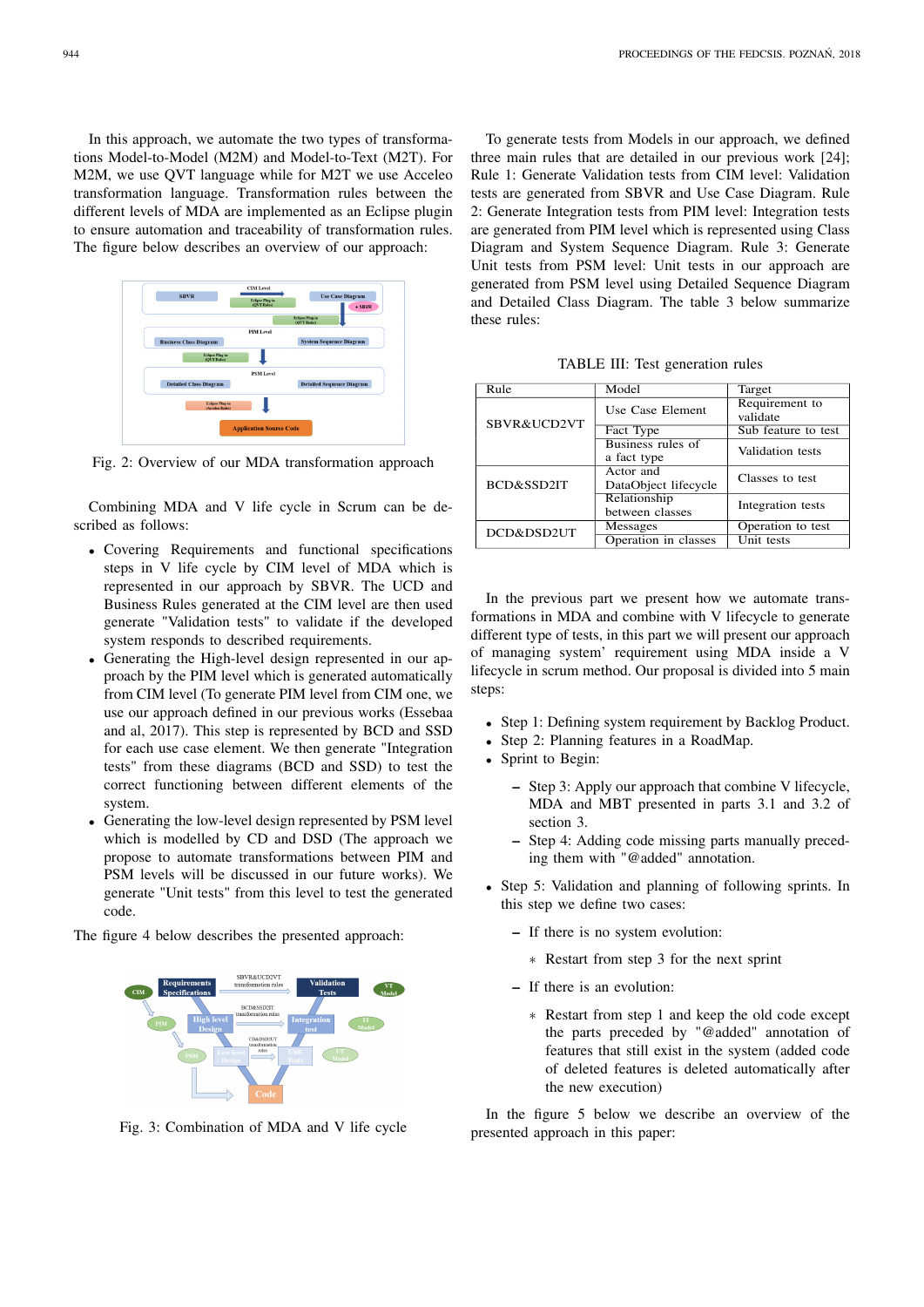In this approach, we automate the two types of transformations Model-to-Model (M2M) and Model-to-Text (M2T). For M2M, we use QVT language while for M2T we use Acceleo transformation language. Transformation rules between the different levels of MDA are implemented as an Eclipse plugin to ensure automation and traceability of transformation rules. The figure below describes an overview of our approach:



Fig. 2: Overview of our MDA transformation approach

Combining MDA and V life cycle in Scrum can be described as follows:

- Covering Requirements and functional specifications steps in V life cycle by CIM level of MDA which is represented in our approach by SBVR. The UCD and Business Rules generated at the CIM level are then used generate "Validation tests" to validate if the developed system responds to described requirements.
- Generating the High-level design represented in our approach by the PIM level which is generated automatically from CIM level (To generate PIM level from CIM one, we use our approach defined in our previous works (Essebaa and al, 2017). This step is represented by BCD and SSD for each use case element. We then generate "Integration tests" from these diagrams (BCD and SSD) to test the correct functioning between different elements of the system.
- Generating the low-level design represented by PSM level which is modelled by CD and DSD (The approach we propose to automate transformations between PIM and PSM levels will be discussed in our future works). We generate "Unit tests" from this level to test the generated code.

The figure 4 below describes the presented approach:



Fig. 3: Combination of MDA and V life cycle

To generate tests from Models in our approach, we defined three main rules that are detailed in our previous work [24]; Rule 1: Generate Validation tests from CIM level: Validation tests are generated from SBVR and Use Case Diagram. Rule 2: Generate Integration tests from PIM level: Integration tests are generated from PIM level which is represented using Class Diagram and System Sequence Diagram. Rule 3: Generate Unit tests from PSM level: Unit tests in our approach are generated from PSM level using Detailed Sequence Diagram and Detailed Class Diagram. The table 3 below summarize these rules:

TABLE III: Test generation rules

| Rule        | Model                             | Target                     |
|-------------|-----------------------------------|----------------------------|
| SBVR&UCD2VT | Use Case Element                  | Requirement to<br>validate |
|             | Fact Type                         | Sub feature to test        |
|             | Business rules of<br>a fact type  | Validation tests           |
| BCD&SSD2IT  | Actor and<br>DataObject lifecycle | Classes to test            |
|             | Relationship<br>between classes   | Integration tests          |
| DCD&DSD2UT  | Messages                          | Operation to test          |
|             | Operation in classes              | Unit tests                 |

In the previous part we present how we automate transformations in MDA and combine with V lifecycle to generate different type of tests, in this part we will present our approach of managing system' requirement using MDA inside a V lifecycle in scrum method. Our proposal is divided into 5 main steps:

- Step 1: Defining system requirement by Backlog Product.
- Step 2: Planning features in a RoadMap.
- Sprint to Begin:
	- Step 3: Apply our approach that combine V lifecycle, MDA and MBT presented in parts 3.1 and 3.2 of section 3.
	- Step 4: Adding code missing parts manually preceding them with "@added" annotation.
- Step 5: Validation and planning of following sprints. In this step we define two cases:
	- If there is no system evolution:
		- ∗ Restart from step 3 for the next sprint
	- If there is an evolution:
		- ∗ Restart from step 1 and keep the old code except the parts preceded by "@added" annotation of features that still exist in the system (added code of deleted features is deleted automatically after the new execution)

In the figure 5 below we describe an overview of the presented approach in this paper: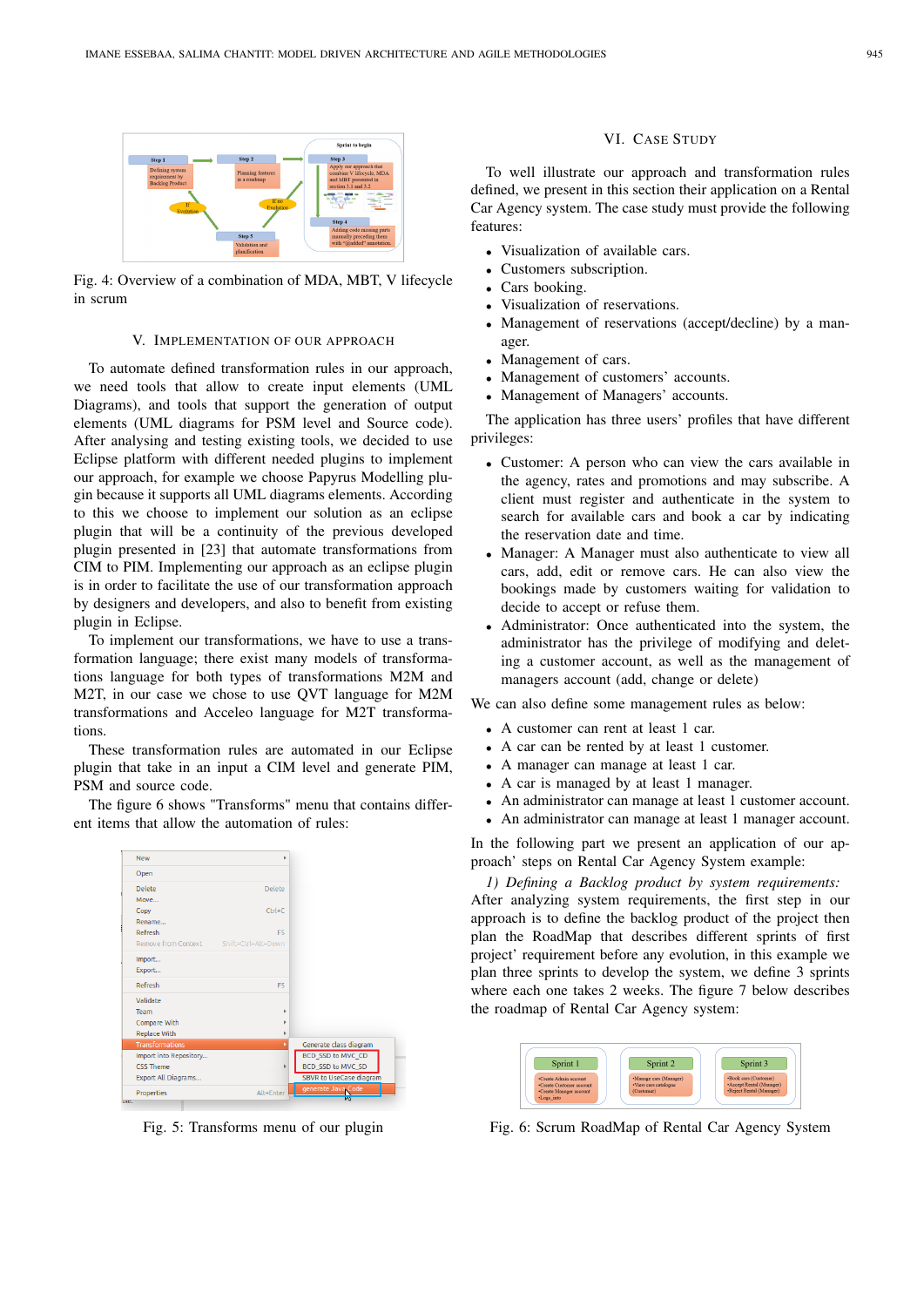

Fig. 4: Overview of a combination of MDA, MBT, V lifecycle in scrum

## V. IMPLEMENTATION OF OUR APPROACH

To automate defined transformation rules in our approach, we need tools that allow to create input elements (UML Diagrams), and tools that support the generation of output elements (UML diagrams for PSM level and Source code). After analysing and testing existing tools, we decided to use Eclipse platform with different needed plugins to implement our approach, for example we choose Papyrus Modelling plugin because it supports all UML diagrams elements. According to this we choose to implement our solution as an eclipse plugin that will be a continuity of the previous developed plugin presented in [23] that automate transformations from CIM to PIM. Implementing our approach as an eclipse plugin is in order to facilitate the use of our transformation approach by designers and developers, and also to benefit from existing plugin in Eclipse.

To implement our transformations, we have to use a transformation language; there exist many models of transformations language for both types of transformations M2M and M2T, in our case we chose to use QVT language for M2M transformations and Acceleo language for M2T transformations.

These transformation rules are automated in our Eclipse plugin that take in an input a CIM level and generate PIM, PSM and source code.

The figure 6 shows "Transforms" menu that contains different items that allow the automation of rules:

| <b>New</b>             | b                      |                                |
|------------------------|------------------------|--------------------------------|
| Open                   |                        |                                |
| Delete                 | Delete                 |                                |
| Move                   |                        |                                |
| Copy                   | $C$ <sub>tr</sub> $+C$ |                                |
| Rename                 |                        |                                |
| Refresh                | F <sub>5</sub>         |                                |
| Remove from Context    | Shift+Ctrl+Alt+Down    |                                |
| Import                 |                        |                                |
| Export                 |                        |                                |
| Refresh                | F <sub>5</sub>         |                                |
| Validate               |                        |                                |
| Team                   | ь                      |                                |
| Compare With           |                        |                                |
| <b>Replace With</b>    | ۰                      |                                |
| <b>Transformations</b> | ¥.                     | Generate class diagram         |
| Import into Repository |                        | <b>BCD_SSD to MVC_CD</b>       |
| CSS Theme              | Þ                      | BCD_SSD to MVC_SD              |
| Export All Diagrams    |                        | <b>SBVR</b> to UseCase diagram |
| Properties             | Alt+Enter              | generate Java Code             |

Fig. 5: Transforms menu of our plugin

## VI. CASE STUDY

To well illustrate our approach and transformation rules defined, we present in this section their application on a Rental Car Agency system. The case study must provide the following features:

- Visualization of available cars.
- Customers subscription.
- Cars booking.
- Visualization of reservations.
- Management of reservations (accept/decline) by a manager.
- Management of cars.
- Management of customers' accounts.
- Management of Managers' accounts.

The application has three users' profiles that have different privileges:

- Customer: A person who can view the cars available in the agency, rates and promotions and may subscribe. A client must register and authenticate in the system to search for available cars and book a car by indicating the reservation date and time.
- Manager: A Manager must also authenticate to view all cars, add, edit or remove cars. He can also view the bookings made by customers waiting for validation to decide to accept or refuse them.
- Administrator: Once authenticated into the system, the administrator has the privilege of modifying and deleting a customer account, as well as the management of managers account (add, change or delete)

We can also define some management rules as below:

- A customer can rent at least 1 car.
- A car can be rented by at least 1 customer.
- A manager can manage at least 1 car.
- A car is managed by at least 1 manager.
- An administrator can manage at least 1 customer account.
- An administrator can manage at least 1 manager account.

In the following part we present an application of our approach' steps on Rental Car Agency System example:

*1) Defining a Backlog product by system requirements:* After analyzing system requirements, the first step in our approach is to define the backlog product of the project then plan the RoadMap that describes different sprints of first project' requirement before any evolution, in this example we plan three sprints to develop the system, we define 3 sprints where each one takes 2 weeks. The figure 7 below describes the roadmap of Rental Car Agency system:



Fig. 6: Scrum RoadMap of Rental Car Agency System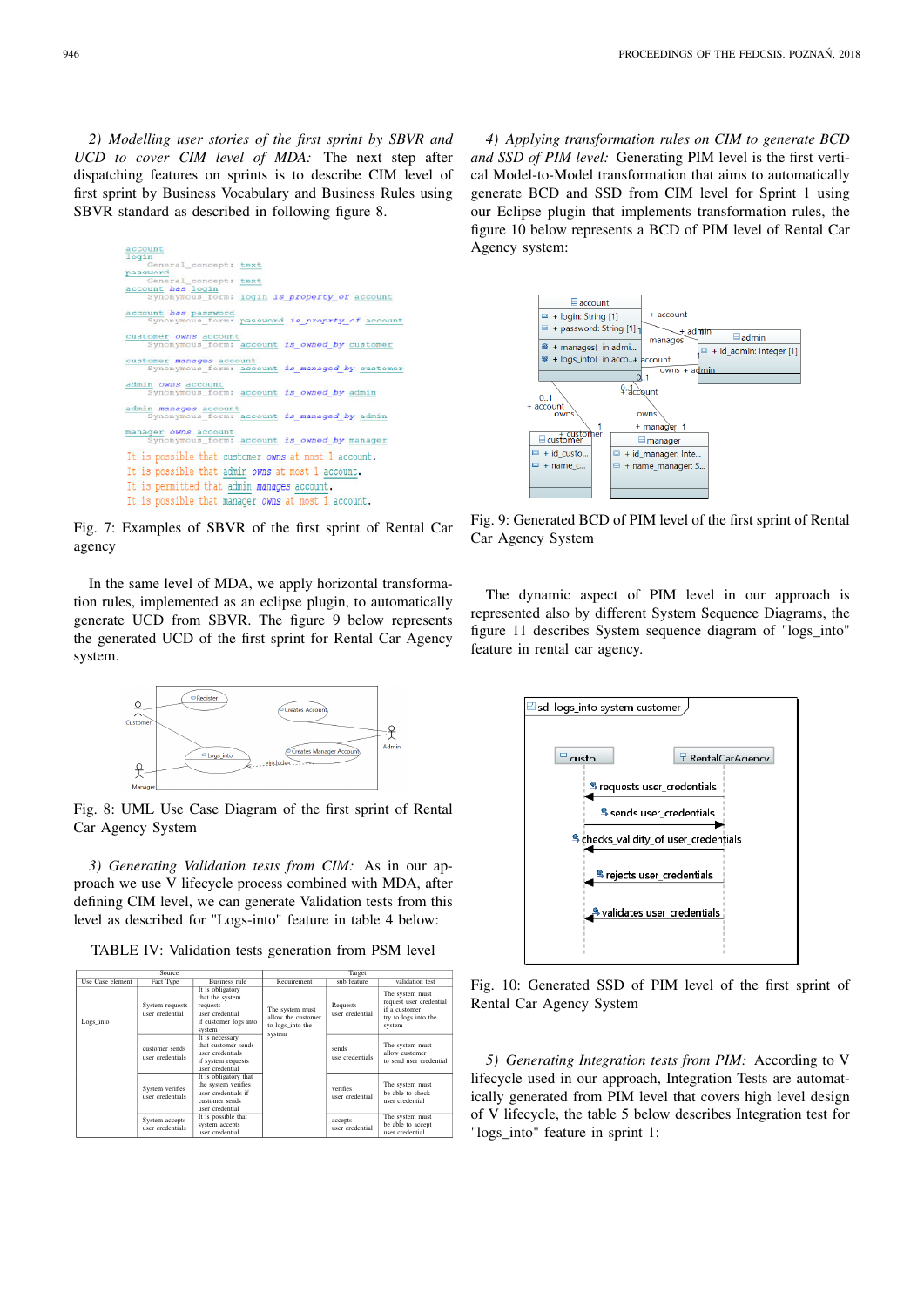*2) Modelling user stories of the first sprint by SBVR and UCD to cover CIM level of MDA:* The next step after dispatching features on sprints is to describe CIM level of first sprint by Business Vocabulary and Business Rules using SBVR standard as described in following figure 8.

| account<br>login                                                   |
|--------------------------------------------------------------------|
| General concept: text<br>password                                  |
| General_concept: text                                              |
| account has login<br>Synonymous form: login is property of account |
| account has password                                               |
| Synonymous form: password is proprty of account                    |
| customer owns account                                              |
| Synonymous form: account is owned by customer                      |
| customer manages account                                           |
| Synonymous form: account is managed by customer                    |
| admin owns account                                                 |
| Synonymous form: account is owned by admin                         |
| admin manages account                                              |
| Synonymous form: account is managed by admin                       |
| manager owns account                                               |
| Synonymous form: account is owned by manager                       |
| It is possible that customer owns at most 1 account.               |
| It is possible that admin owns at most 1 account.                  |
| It is permitted that admin manages account.                        |
| It is possible that manager owns at most 1 account.                |
|                                                                    |

Fig. 7: Examples of SBVR of the first sprint of Rental Car agency

In the same level of MDA, we apply horizontal transformation rules, implemented as an eclipse plugin, to automatically generate UCD from SBVR. The figure 9 below represents the generated UCD of the first sprint for Rental Car Agency system.



Fig. 8: UML Use Case Diagram of the first sprint of Rental Car Agency System

*3) Generating Validation tests from CIM:* As in our approach we use V lifecycle process combined with MDA, after defining CIM level, we can generate Validation tests from this level as described for "Logs-into" feature in table 4 below:

TABLE IV: Validation tests generation from PSM level

| Source.          |                                     |                                                                                                          | Target                                                              |                             |                                                                                               |
|------------------|-------------------------------------|----------------------------------------------------------------------------------------------------------|---------------------------------------------------------------------|-----------------------------|-----------------------------------------------------------------------------------------------|
| Use Case element | Fact Type                           | Business rule                                                                                            | Requirement                                                         | sub feature                 | validation test                                                                               |
| Logs into        | System requests<br>user credential  | It is obligatory<br>that the system<br>requests<br>user credential<br>if customer logs into<br>system    | The system must<br>allow the customer<br>to logs into the<br>system | Requests<br>user credential | The system must<br>request user credential<br>if a customer<br>try to logs into the<br>system |
|                  | customer sends<br>user credentials  | It is necessary<br>that customer sends<br>user credentials<br>if system requests<br>user credential      |                                                                     | sends<br>use credentials    | The system must<br>allow customer<br>to send user credential                                  |
|                  | System verifies<br>user credentials | It is obligatory that<br>the system verifies<br>user credentials if<br>customer sends<br>user credential |                                                                     | verifies<br>user credential | The system must<br>be able to check<br>user credential                                        |
|                  | System accepts<br>user credentials  | It is possible that<br>system accepts<br>user credential                                                 |                                                                     | accepts<br>user credential  | The system must<br>be able to accept<br>user credential                                       |

*4) Applying transformation rules on CIM to generate BCD and SSD of PIM level:* Generating PIM level is the first vertical Model-to-Model transformation that aims to automatically generate BCD and SSD from CIM level for Sprint 1 using our Eclipse plugin that implements transformation rules, the figure 10 below represents a BCD of PIM level of Rental Car Agency system:



Fig. 9: Generated BCD of PIM level of the first sprint of Rental Car Agency System

The dynamic aspect of PIM level in our approach is represented also by different System Sequence Diagrams, the figure 11 describes System sequence diagram of "logs\_into" feature in rental car agency.



Fig. 10: Generated SSD of PIM level of the first sprint of Rental Car Agency System

*5) Generating Integration tests from PIM:* According to V lifecycle used in our approach, Integration Tests are automatically generated from PIM level that covers high level design of V lifecycle, the table 5 below describes Integration test for "logs\_into" feature in sprint 1: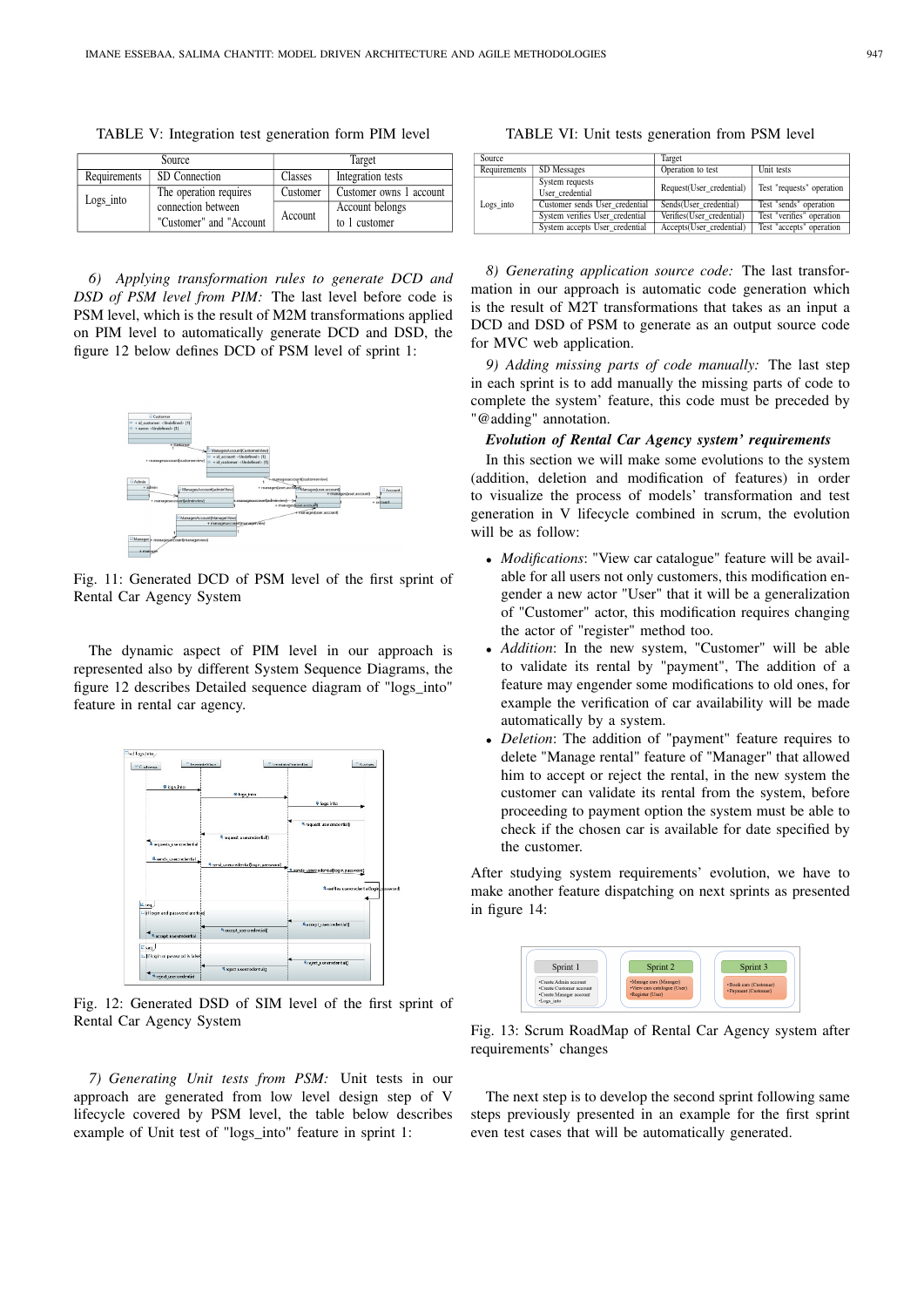TABLE V: Integration test generation form PIM level

| Source       |                          | Target   |                         |  |
|--------------|--------------------------|----------|-------------------------|--|
| Requirements | SD Connection            |          | Integration tests       |  |
| $Logs$ into  | The operation requires   | Customer | Customer owns 1 account |  |
|              | connection between       | Account  | Account belongs         |  |
|              | "Customer" and "Account" |          | to 1 customer           |  |

*6) Applying transformation rules to generate DCD and DSD of PSM level from PIM:* The last level before code is PSM level, which is the result of M2M transformations applied on PIM level to automatically generate DCD and DSD, the figure 12 below defines DCD of PSM level of sprint 1:



Fig. 11: Generated DCD of PSM level of the first sprint of Rental Car Agency System

The dynamic aspect of PIM level in our approach is represented also by different System Sequence Diagrams, the figure 12 describes Detailed sequence diagram of "logs\_into" feature in rental car agency.



Fig. 12: Generated DSD of SIM level of the first sprint of Rental Car Agency System

*7) Generating Unit tests from PSM:* Unit tests in our approach are generated from low level design step of V lifecycle covered by PSM level, the table below describes example of Unit test of "logs\_into" feature in sprint 1:

TABLE VI: Unit tests generation from PSM level

| Source       |                                    | Target                    |                           |  |
|--------------|------------------------------------|---------------------------|---------------------------|--|
| Requirements | SD Messages                        | Operation to test         | Unit tests                |  |
|              | System requests<br>User credential | Request(User credential)  | Test "requests" operation |  |
| Logs into    | Customer sends User credential     | Sends(User credential)    | Test "sends" operation    |  |
|              | System verifies User credential    | Verifies(User credential) | Test "verifies" operation |  |
|              | System accepts User credential     | Accepts(User credential)  | Test "accepts" operation  |  |

*8) Generating application source code:* The last transformation in our approach is automatic code generation which is the result of M2T transformations that takes as an input a DCD and DSD of PSM to generate as an output source code for MVC web application.

*9) Adding missing parts of code manually:* The last step in each sprint is to add manually the missing parts of code to complete the system' feature, this code must be preceded by "@adding" annotation.

## *Evolution of Rental Car Agency system' requirements*

In this section we will make some evolutions to the system (addition, deletion and modification of features) in order to visualize the process of models' transformation and test generation in V lifecycle combined in scrum, the evolution will be as follow:

- *Modifications*: "View car catalogue" feature will be available for all users not only customers, this modification engender a new actor "User" that it will be a generalization of "Customer" actor, this modification requires changing the actor of "register" method too.
- *Addition*: In the new system, "Customer" will be able to validate its rental by "payment", The addition of a feature may engender some modifications to old ones, for example the verification of car availability will be made automatically by a system.
- *Deletion*: The addition of "payment" feature requires to delete "Manage rental" feature of "Manager" that allowed him to accept or reject the rental, in the new system the customer can validate its rental from the system, before proceeding to payment option the system must be able to check if the chosen car is available for date specified by the customer.

After studying system requirements' evolution, we have to make another feature dispatching on next sprints as presented in figure 14:



Fig. 13: Scrum RoadMap of Rental Car Agency system after requirements' changes

The next step is to develop the second sprint following same steps previously presented in an example for the first sprint even test cases that will be automatically generated.